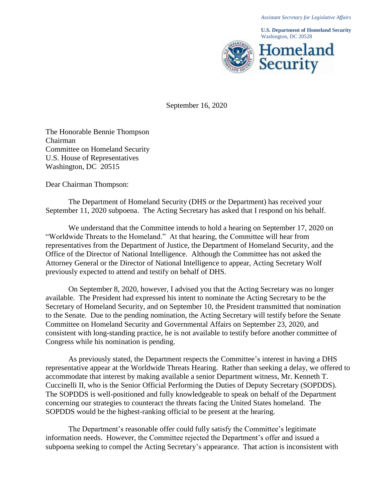**U.S. Department of Homeland Security** Washington, DC 20528



September 16, 2020

The Honorable Bennie Thompson Chairman Committee on Homeland Security U.S. House of Representatives Washington, DC 20515

Dear Chairman Thompson:

The Department of Homeland Security (DHS or the Department) has received your September 11, 2020 subpoena. The Acting Secretary has asked that I respond on his behalf.

We understand that the Committee intends to hold a hearing on September 17, 2020 on "Worldwide Threats to the Homeland." At that hearing, the Committee will hear from representatives from the Department of Justice, the Department of Homeland Security, and the Office of the Director of National Intelligence. Although the Committee has not asked the Attorney General or the Director of National Intelligence to appear, Acting Secretary Wolf previously expected to attend and testify on behalf of DHS.

On September 8, 2020, however, I advised you that the Acting Secretary was no longer available. The President had expressed his intent to nominate the Acting Secretary to be the Secretary of Homeland Security, and on September 10, the President transmitted that nomination to the Senate. Due to the pending nomination, the Acting Secretary will testify before the Senate Committee on Homeland Security and Governmental Affairs on September 23, 2020, and consistent with long-standing practice, he is not available to testify before another committee of Congress while his nomination is pending.

As previously stated, the Department respects the Committee's interest in having a DHS representative appear at the Worldwide Threats Hearing. Rather than seeking a delay, we offered to accommodate that interest by making available a senior Department witness, Mr. Kenneth T. Cuccinelli II, who is the Senior Official Performing the Duties of Deputy Secretary (SOPDDS). The SOPDDS is well-positioned and fully knowledgeable to speak on behalf of the Department concerning our strategies to counteract the threats facing the United States homeland. The SOPDDS would be the highest-ranking official to be present at the hearing.

The Department's reasonable offer could fully satisfy the Committee's legitimate information needs. However, the Committee rejected the Department's offer and issued a subpoena seeking to compel the Acting Secretary's appearance. That action is inconsistent with